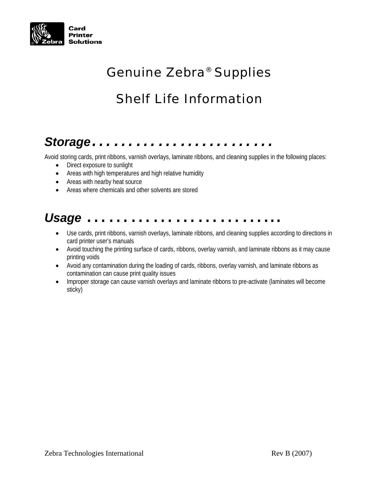

## *Genuine Zebra® Supplies*

### *Shelf Life Information*

# *Storage…………….………*

Avoid storing cards, print ribbons, varnish overlays, laminate ribbons, and cleaning supplies in the following places:

- Direct exposure to sunlight
- Areas with high temperatures and high relative humidity
- Areas with nearby heat source
- Areas where chemicals and other solvents are stored

#### *Usage*……………………...

- Use cards, print ribbons, varnish overlays, laminate ribbons, and cleaning supplies according to directions in card printer user's manuals
- Avoid touching the printing surface of cards, ribbons, overlay varnish, and laminate ribbons as it may cause printing voids
- Avoid any contamination during the loading of cards, ribbons, overlay varnish, and laminate ribbons as contamination can cause print quality issues
- Improper storage can cause varnish overlays and laminate ribbons to pre-activate (laminates will become sticky)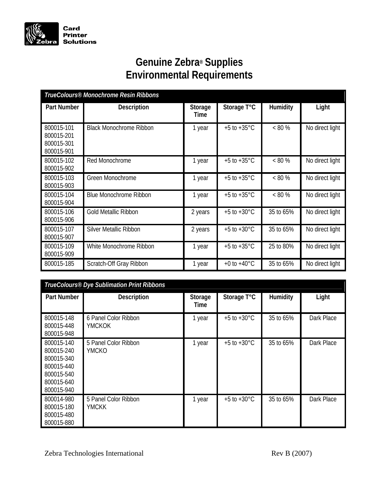

#### **Genuine Zebra® Supplies Environmental Requirements**

| TrueColours® Monochrome Resin Ribbons                |                                |                 |                         |           |                 |  |
|------------------------------------------------------|--------------------------------|-----------------|-------------------------|-----------|-----------------|--|
| Part Number                                          | <b>Description</b>             | Storage<br>Time | Storage T°C             | Humidity  | Light           |  |
| 800015-101<br>800015-201<br>800015-301<br>800015-901 | <b>Black Monochrome Ribbon</b> | 1 year          | $+5$ to $+35^{\circ}$ C | $< 80\%$  | No direct light |  |
| 800015-102<br>800015-902                             | Red Monochrome                 | 1 year          | $+5$ to $+35^{\circ}$ C | $< 80\%$  | No direct light |  |
| 800015-103<br>800015-903                             | <b>Green Monochrome</b>        | 1 year          | $+5$ to $+35^{\circ}$ C | $< 80\%$  | No direct light |  |
| 800015-104<br>800015-904                             | <b>Blue Monochrome Ribbon</b>  | 1 year          | $+5$ to $+35^{\circ}$ C | $< 80 \%$ | No direct light |  |
| 800015-106<br>800015-906                             | <b>Gold Metallic Ribbon</b>    | 2 years         | $+5$ to $+30^{\circ}$ C | 35 to 65% | No direct light |  |
| 800015-107<br>800015-907                             | <b>Silver Metallic Ribbon</b>  | 2 years         | $+5$ to $+30^{\circ}$ C | 35 to 65% | No direct light |  |
| 800015-109<br>800015-909                             | White Monochrome Ribbon        | 1 year          | $+5$ to $+35^{\circ}$ C | 25 to 80% | No direct light |  |
| 800015-185                                           | Scratch-Off Gray Ribbon        | 1 year          | +0 to +40 $^{\circ}$ C  | 35 to 65% | No direct light |  |

| TrueColours® Dye Sublimation Print Ribbons                                                     |                                      |                 |                         |           |            |  |
|------------------------------------------------------------------------------------------------|--------------------------------------|-----------------|-------------------------|-----------|------------|--|
| <b>Part Number</b>                                                                             | <b>Description</b>                   | Storage<br>Time | Storage T°C             | Humidity  | Light      |  |
| 800015-148<br>800015-448<br>800015-948                                                         | 6 Panel Color Ribbon<br>YMCKOK       | 1 year          | $+5$ to $+30^{\circ}$ C | 35 to 65% | Dark Place |  |
| 800015-140<br>800015-240<br>800015-340<br>800015-440<br>800015-540<br>800015-640<br>800015-940 | 5 Panel Color Ribbon<br><b>YMCKO</b> | 1 year          | $+5$ to $+30^{\circ}$ C | 35 to 65% | Dark Place |  |
| 800014-980<br>800015-180<br>800015-480<br>800015-880                                           | 5 Panel Color Ribbon<br>YMCKK        | 1 year          | $+5$ to $+30^{\circ}$ C | 35 to 65% | Dark Place |  |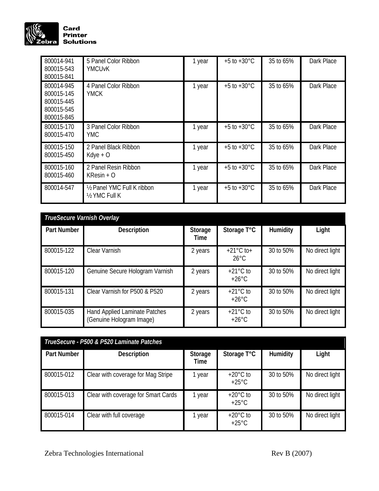

| 800014-941<br>800015-543<br>800015-841                             | 5 Panel Color Ribbon<br><b>YMCUvK</b>                   | 1 year | $+5$ to $+30^{\circ}$ C | 35 to 65% | Dark Place |
|--------------------------------------------------------------------|---------------------------------------------------------|--------|-------------------------|-----------|------------|
| 800014-945<br>800015-145<br>800015-445<br>800015-545<br>800015-845 | 4 Panel Color Ribbon<br>YMCK                            | 1 year | $+5$ to $+30^{\circ}$ C | 35 to 65% | Dark Place |
| 800015-170<br>800015-470                                           | 3 Panel Color Ribbon<br><b>YMC</b>                      | 1 year | $+5$ to $+30^{\circ}$ C | 35 to 65% | Dark Place |
| 800015-150<br>800015-450                                           | 2 Panel Black Ribbon<br>$Kdye + O$                      | 1 year | $+5$ to $+30^{\circ}$ C | 35 to 65% | Dark Place |
| 800015-160<br>800015-460                                           | 2 Panel Resin Ribbon<br>$K$ Resin + O                   | 1 year | $+5$ to $+30^{\circ}$ C | 35 to 65% | Dark Place |
| 800014-547                                                         | 1/2 Panel YMC Full K ribbon<br>$\frac{1}{2}$ YMC Full K | 1 year | $+5$ to $+30^{\circ}$ C | 35 to 65% | Dark Place |

| TrueSecure Varnish Overlay |                                                           |                 |                                        |           |                 |  |  |
|----------------------------|-----------------------------------------------------------|-----------------|----------------------------------------|-----------|-----------------|--|--|
| <b>Part Number</b>         | <b>Description</b>                                        | Storage<br>Time | Storage T°C                            | Humidity  | Light           |  |  |
| 800015-122                 | Clear Varnish                                             | 2 years         | $+21^{\circ}$ C to +<br>$26^{\circ}$ C | 30 to 50% | No direct light |  |  |
| 800015-120                 | Genuine Secure Hologram Varnish                           | 2 years         | $+21^{\circ}$ C to<br>$+26^{\circ}$ C  | 30 to 50% | No direct light |  |  |
| 800015-131                 | Clear Varnish for P500 & P520                             | 2 years         | $+21^{\circ}$ C to<br>$+26^{\circ}$ C  | 30 to 50% | No direct light |  |  |
| 800015-035                 | Hand Applied Laminate Patches<br>(Genuine Hologram Image) | 2 years         | $+21^{\circ}$ C to<br>$+26^{\circ}$ C  | 30 to 50% | No direct light |  |  |

| TrueSecure - P500 & P520 Laminate Patches |                                     |                 |                                       |           |                 |  |
|-------------------------------------------|-------------------------------------|-----------------|---------------------------------------|-----------|-----------------|--|
| Part Number                               | <b>Description</b>                  | Storage<br>Time | Storage T°C                           | Humidity  | Light           |  |
| 800015-012                                | Clear with coverage for Mag Stripe  | year            | $+20^{\circ}$ C to<br>$+25^{\circ}$ C | 30 to 50% | No direct light |  |
| 800015-013                                | Clear with coverage for Smart Cards | year            | $+20^{\circ}$ C to<br>$+25^{\circ}$ C | 30 to 50% | No direct light |  |
| 800015-014                                | Clear with full coverage            | year            | $+20^{\circ}$ C to<br>$+25^{\circ}$ C | 30 to 50% | No direct light |  |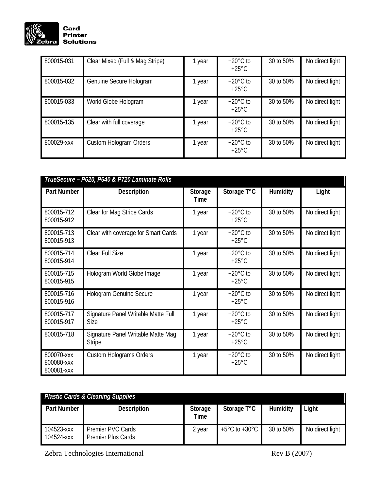

| 800015-031 | Clear Mixed (Full & Mag Stripe) | year | $+20^{\circ}$ C to<br>$+25^{\circ}$ C | 30 to 50% | No direct light |
|------------|---------------------------------|------|---------------------------------------|-----------|-----------------|
| 800015-032 | Genuine Secure Hologram         | year | $+20^{\circ}$ C to<br>$+25^{\circ}$ C | 30 to 50% | No direct light |
| 800015-033 | World Globe Hologram            | year | $+20^{\circ}$ C to<br>$+25^{\circ}$ C | 30 to 50% | No direct light |
| 800015-135 | Clear with full coverage        | year | $+20^{\circ}$ C to<br>$+25^{\circ}$ C | 30 to 50% | No direct light |
| 800029-xxx | Custom Hologram Orders          | year | $+20^{\circ}$ C to<br>$+25^{\circ}$ C | 30 to 50% | No direct light |

| TrueSecure - P620, P640 & P720 Laminate Rolls |                                                     |                 |                                       |           |                 |  |
|-----------------------------------------------|-----------------------------------------------------|-----------------|---------------------------------------|-----------|-----------------|--|
| Part Number                                   | <b>Description</b>                                  | Storage<br>Time | Storage T°C                           | Humidity  | Light           |  |
| 800015-712<br>800015-912                      | Clear for Mag Stripe Cards                          | 1 year          | $+20^{\circ}$ C to<br>$+25^{\circ}$ C | 30 to 50% | No direct light |  |
| 800015-713<br>800015-913                      | Clear with coverage for Smart Cards                 | 1 year          | $+20^{\circ}$ C to<br>$+25^{\circ}$ C | 30 to 50% | No direct light |  |
| 800015-714<br>800015-914                      | Clear Full Size                                     | 1 year          | $+20^{\circ}$ C to<br>$+25^{\circ}$ C | 30 to 50% | No direct light |  |
| 800015-715<br>800015-915                      | Hologram World Globe Image                          | 1 year          | $+20^{\circ}$ C to<br>$+25^{\circ}$ C | 30 to 50% | No direct light |  |
| 800015-716<br>800015-916                      | Hologram Genuine Secure                             | 1 year          | $+20^{\circ}$ C to<br>$+25^{\circ}$ C | 30 to 50% | No direct light |  |
| 800015-717<br>800015-917                      | Signature Panel Writable Matte Full<br><b>Size</b>  | 1 year          | $+20^{\circ}$ C to<br>$+25^{\circ}$ C | 30 to 50% | No direct light |  |
| 800015-718                                    | Signature Panel Writable Matte Mag<br><b>Stripe</b> | 1 year          | $+20^{\circ}$ C to<br>$+25^{\circ}$ C | 30 to 50% | No direct light |  |
| 800070-xxx<br>800080-xxx<br>800081-xxx        | <b>Custom Holograms Orders</b>                      | 1 year          | $+20^{\circ}$ C to<br>$+25^{\circ}$ C | 30 to 50% | No direct light |  |

| <b>Plastic Cards &amp; Cleaning Supplies</b> |                                                |                 |                                   |           |                 |  |
|----------------------------------------------|------------------------------------------------|-----------------|-----------------------------------|-----------|-----------------|--|
| Part Number                                  | <b>Description</b>                             | Storage<br>Time | Storage T°C                       | Humidity  | Light           |  |
| 104523-xxx<br>104524-xxx                     | Premier PVC Cards<br><b>Premier Plus Cards</b> | 2 year          | $+5^{\circ}$ C to $+30^{\circ}$ C | 30 to 50% | No direct light |  |